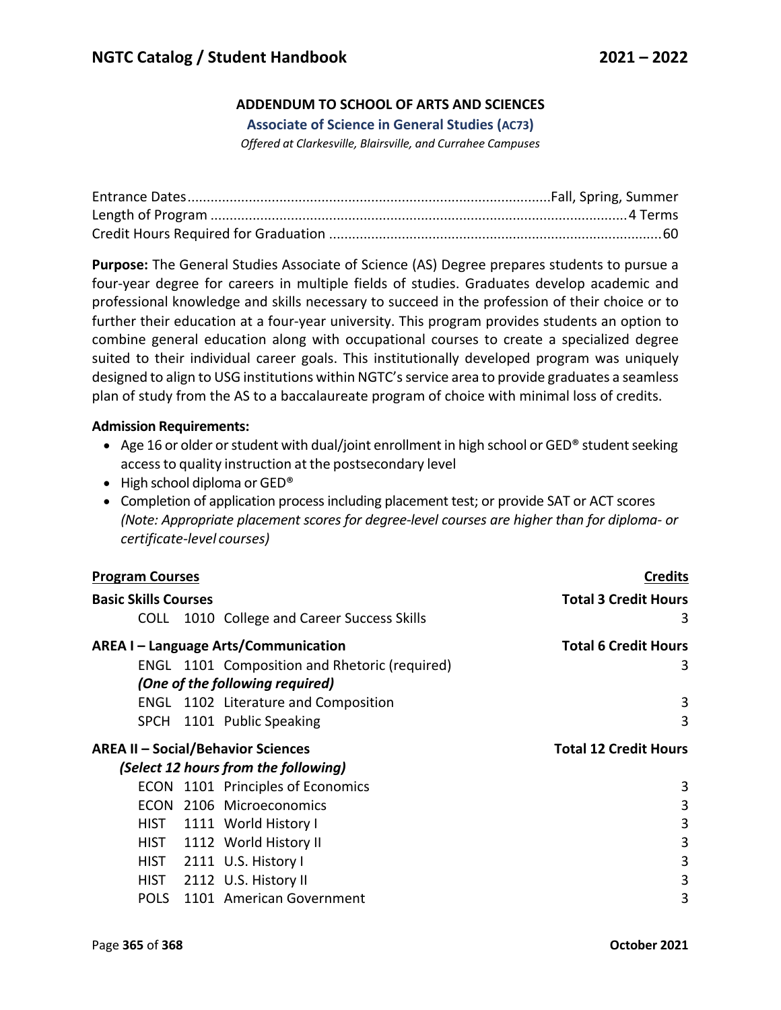## **ADDENDUM TO SCHOOL OF ARTS AND SCIENCES**

**Associate of Science in General Studies (AC73)**

*Offered at Clarkesville, Blairsville, and Currahee Campuses*

**Purpose:** The General Studies Associate of Science (AS) Degree prepares students to pursue a four-year degree for careers in multiple fields of studies. Graduates develop academic and professional knowledge and skills necessary to succeed in the profession of their choice or to further their education at a four-year university. This program provides students an option to combine general education along with occupational courses to create a specialized degree suited to their individual career goals. This institutionally developed program was uniquely designed to align to USG institutions within NGTC's service area to provide graduates a seamless plan of study from the AS to a baccalaureate program of choice with minimal loss of credits.

## **Admission Requirements:**

- Age 16 or older or student with dual/joint enrollment in high school or GED® student seeking accessto quality instruction at the postsecondary level
- High school diploma or GED<sup>®</sup>
- Completion of application process including placement test; or provide SAT or ACT scores *(Note: Appropriate placement scores for degree-level courses are higher than for diploma- or certificate-level courses)*

| <b>Program Courses</b>                    |  |                                               | <b>Credits</b>               |  |
|-------------------------------------------|--|-----------------------------------------------|------------------------------|--|
| <b>Basic Skills Courses</b>               |  |                                               | <b>Total 3 Credit Hours</b>  |  |
|                                           |  | COLL 1010 College and Career Success Skills   | 3                            |  |
| AREA I - Language Arts/Communication      |  |                                               | <b>Total 6 Credit Hours</b>  |  |
|                                           |  | ENGL 1101 Composition and Rhetoric (required) | 3                            |  |
|                                           |  | (One of the following required)               |                              |  |
|                                           |  | <b>ENGL</b> 1102 Literature and Composition   | 3                            |  |
|                                           |  | SPCH 1101 Public Speaking                     | 3                            |  |
| <b>AREA II - Social/Behavior Sciences</b> |  |                                               | <b>Total 12 Credit Hours</b> |  |
| (Select 12 hours from the following)      |  |                                               |                              |  |
|                                           |  |                                               |                              |  |
|                                           |  | ECON 1101 Principles of Economics             | 3                            |  |
| <b>ECON</b>                               |  | 2106 Microeconomics                           | 3                            |  |
| HIST                                      |  | 1111 World History I                          | 3                            |  |
|                                           |  | HIST 1112 World History II                    | 3                            |  |
|                                           |  | HIST 2111 U.S. History I                      | 3                            |  |
|                                           |  | HIST 2112 U.S. History II                     | 3                            |  |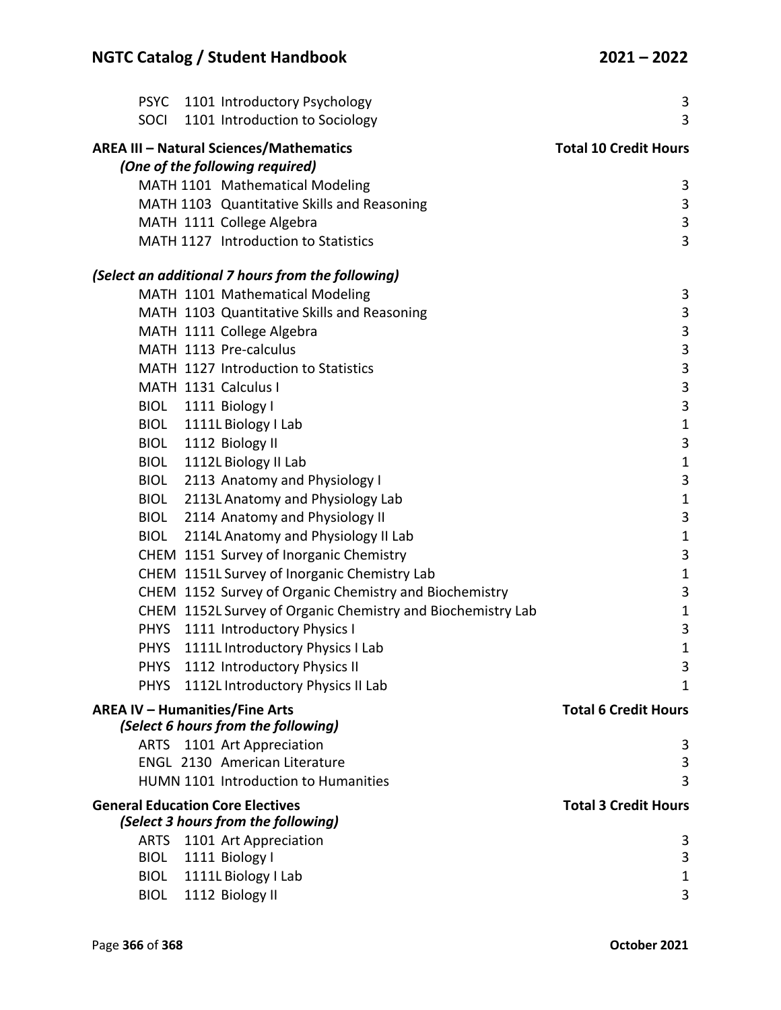|                                         | PSYC 1101 Introductory Psychology                           | 3                            |
|-----------------------------------------|-------------------------------------------------------------|------------------------------|
| SOCI                                    | 1101 Introduction to Sociology                              | 3                            |
|                                         | <b>AREA III - Natural Sciences/Mathematics</b>              | <b>Total 10 Credit Hours</b> |
|                                         | (One of the following required)                             |                              |
|                                         | MATH 1101 Mathematical Modeling                             | 3                            |
|                                         | MATH 1103 Quantitative Skills and Reasoning                 | 3                            |
|                                         | MATH 1111 College Algebra                                   | 3                            |
|                                         | MATH 1127 Introduction to Statistics                        | 3                            |
|                                         | (Select an additional 7 hours from the following)           |                              |
|                                         | MATH 1101 Mathematical Modeling                             | 3                            |
|                                         | MATH 1103 Quantitative Skills and Reasoning                 | 3                            |
|                                         | MATH 1111 College Algebra                                   | 3                            |
|                                         | MATH 1113 Pre-calculus                                      | 3                            |
|                                         | MATH 1127 Introduction to Statistics                        | 3                            |
|                                         | MATH 1131 Calculus I                                        | 3                            |
|                                         | BIOL 1111 Biology I                                         | 3                            |
|                                         | BIOL 1111L Biology I Lab                                    | $\mathbf 1$                  |
| <b>BIOL</b>                             | 1112 Biology II                                             | 3                            |
| <b>BIOL</b>                             | 1112L Biology II Lab                                        | $\mathbf{1}$                 |
|                                         | BIOL 2113 Anatomy and Physiology I                          | 3                            |
|                                         | BIOL 2113L Anatomy and Physiology Lab                       | $\mathbf{1}$                 |
|                                         | BIOL 2114 Anatomy and Physiology II                         | 3                            |
| <b>BIOL</b>                             | 2114L Anatomy and Physiology II Lab                         | $\mathbf{1}$                 |
|                                         | CHEM 1151 Survey of Inorganic Chemistry                     | 3                            |
|                                         | CHEM 1151L Survey of Inorganic Chemistry Lab                | $\mathbf{1}$                 |
|                                         | CHEM 1152 Survey of Organic Chemistry and Biochemistry      | 3                            |
|                                         | CHEM 1152L Survey of Organic Chemistry and Biochemistry Lab | $\mathbf{1}$                 |
|                                         | PHYS 1111 Introductory Physics I                            | 3                            |
|                                         | PHYS 1111L Introductory Physics I Lab                       | $\mathbf{1}$                 |
| <b>PHYS</b>                             | 1112 Introductory Physics II                                | 3                            |
| <b>PHYS</b>                             | 1112L Introductory Physics II Lab                           | $\mathbf{1}$                 |
| <b>AREA IV - Humanities/Fine Arts</b>   |                                                             | <b>Total 6 Credit Hours</b>  |
|                                         | (Select 6 hours from the following)                         |                              |
| <b>ARTS</b>                             | 1101 Art Appreciation                                       | 3                            |
|                                         | <b>ENGL 2130 American Literature</b>                        | 3                            |
|                                         | HUMN 1101 Introduction to Humanities                        | 3                            |
| <b>General Education Core Electives</b> |                                                             | <b>Total 3 Credit Hours</b>  |
|                                         | (Select 3 hours from the following)                         |                              |
| <b>ARTS</b>                             | 1101 Art Appreciation                                       | 3                            |
| <b>BIOL</b>                             | 1111 Biology I                                              | 3                            |
| <b>BIOL</b>                             | 1111L Biology I Lab                                         | $\mathbf 1$                  |
| <b>BIOL</b>                             | 1112 Biology II                                             | 3                            |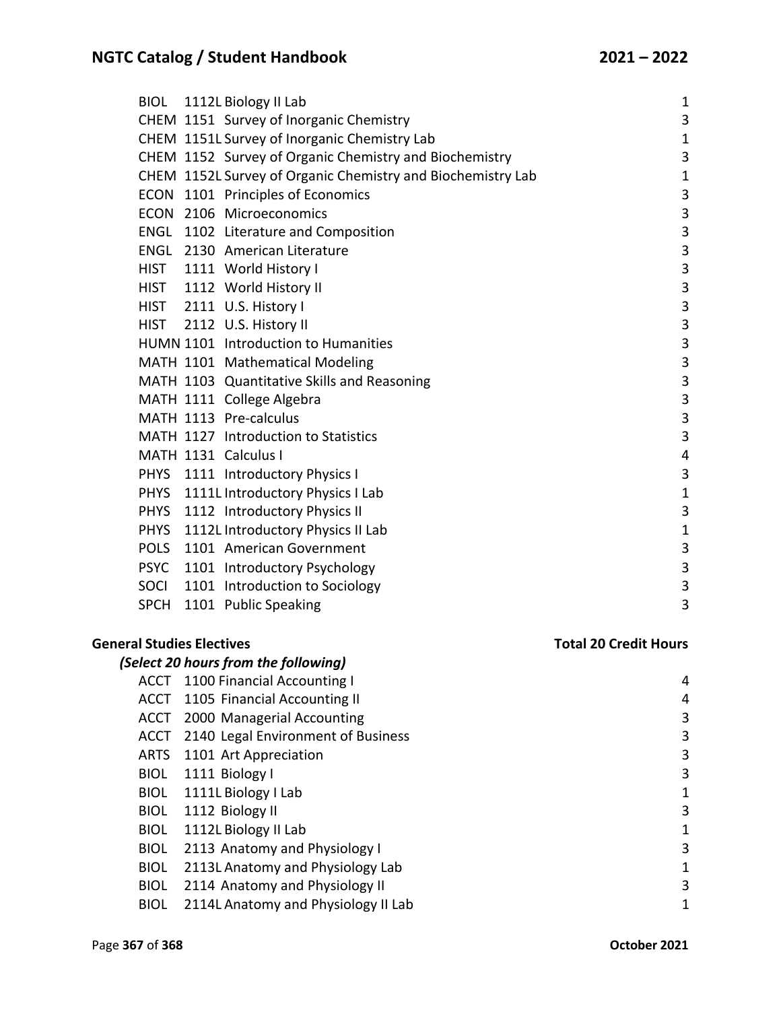|             | BIOL 1112L Biology II Lab                                   | $\mathbf{1}$              |
|-------------|-------------------------------------------------------------|---------------------------|
|             | CHEM 1151 Survey of Inorganic Chemistry                     | 3                         |
|             | CHEM 1151L Survey of Inorganic Chemistry Lab                | $\mathbf{1}$              |
|             | CHEM 1152 Survey of Organic Chemistry and Biochemistry      | 3                         |
|             | CHEM 1152L Survey of Organic Chemistry and Biochemistry Lab | $\mathbf{1}$              |
|             | ECON 1101 Principles of Economics                           | $\mathsf 3$               |
|             | ECON 2106 Microeconomics                                    | $\mathbf{3}$              |
|             | ENGL 1102 Literature and Composition                        | $\overline{\mathbf{3}}$   |
|             | <b>ENGL</b> 2130 American Literature                        | 3                         |
|             | HIST 1111 World History I                                   | 3                         |
|             | HIST 1112 World History II                                  | 3                         |
|             | HIST 2111 U.S. History I                                    | $\ensuremath{\mathsf{3}}$ |
|             | HIST 2112 U.S. History II                                   | $\mathsf 3$               |
|             | HUMN 1101 Introduction to Humanities                        | $\mathsf 3$               |
|             | MATH 1101 Mathematical Modeling                             | $\mathbf{3}$              |
|             | MATH 1103 Quantitative Skills and Reasoning                 | $\mathbf{3}$              |
|             | MATH 1111 College Algebra                                   | 3                         |
|             | MATH 1113 Pre-calculus                                      | $\mathbf{3}$              |
|             | MATH 1127 Introduction to Statistics                        | 3                         |
|             | MATH 1131 Calculus I                                        | $\overline{4}$            |
|             | PHYS 1111 Introductory Physics I                            | $\mathbf{3}$              |
|             | PHYS 1111L Introductory Physics I Lab                       | $\mathbf{1}$              |
|             | PHYS 1112 Introductory Physics II                           | 3                         |
|             | PHYS 1112L Introductory Physics II Lab                      | $\mathbf{1}$              |
|             | POLS 1101 American Government                               | $\mathbf{3}$              |
|             | PSYC 1101 Introductory Psychology                           | $\mathbf{3}$              |
|             | SOCI 1101 Introduction to Sociology                         | $\mathbf{3}$              |
| <b>SPCH</b> | 1101 Public Speaking                                        | 3                         |
|             |                                                             |                           |
|             |                                                             |                           |

## **General Studies Electives Total 20 Credit Hours**

|             | (Select 20 hours from the following) |   |
|-------------|--------------------------------------|---|
| ACCT        | 1100 Financial Accounting I          | 4 |
| ACCT        | 1105 Financial Accounting II         | 4 |
| ACCT        | 2000 Managerial Accounting           | 3 |
| ACCT        | 2140 Legal Environment of Business   | 3 |
| <b>ARTS</b> | 1101 Art Appreciation                | 3 |
| <b>BIOL</b> | 1111 Biology I                       | 3 |
| <b>BIOL</b> | 1111L Biology I Lab                  | 1 |
| <b>BIOL</b> | 1112 Biology II                      | 3 |
| <b>BIOL</b> | 1112L Biology II Lab                 | 1 |
| <b>BIOL</b> | 2113 Anatomy and Physiology I        | 3 |
| <b>BIOL</b> | 2113L Anatomy and Physiology Lab     | 1 |
| <b>BIOL</b> | 2114 Anatomy and Physiology II       | 3 |
| <b>BIOL</b> | 2114L Anatomy and Physiology II Lab  | 1 |